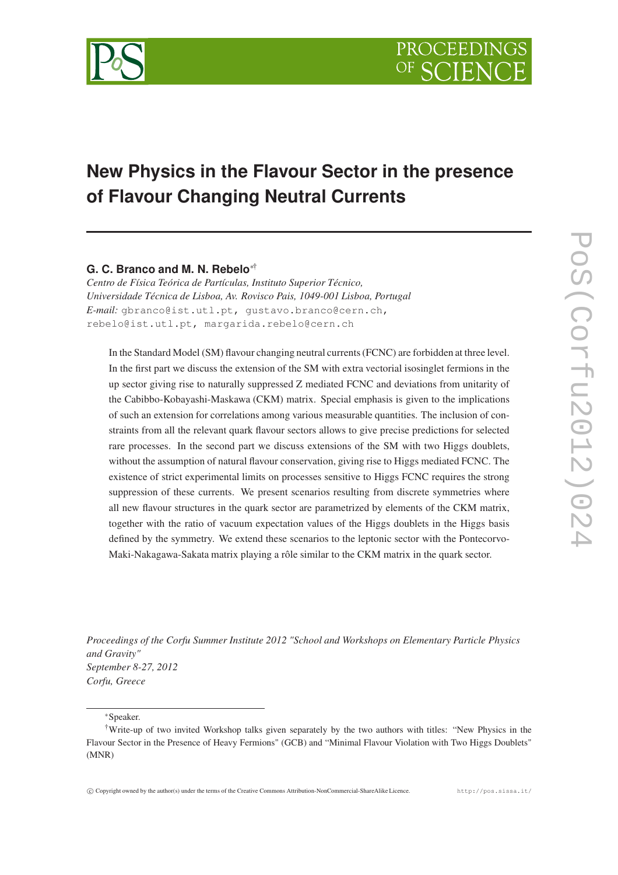

# **New Physics in the Flavour Sector in the presence of Flavour Changing Neutral Currents**

## **G. C. Branco and M. N. Rebelo**∗†

*Centro de Física Teórica de Partículas, Instituto Superior Técnico, Universidade Técnica de Lisboa, Av. Rovisco Pais, 1049-001 Lisboa, Portugal E-mail:* gbranco@ist.utl.pt, gustavo.branco@cern.ch, rebelo@ist.utl.pt, margarida.rebelo@cern.ch

In the Standard Model (SM) flavour changing neutral currents(FCNC) are forbidden at three level. In the first part we discuss the extension of the SM with extra vectorial isosinglet fermions in the up sector giving rise to naturally suppressed Z mediated FCNC and deviations from unitarity of the Cabibbo-Kobayashi-Maskawa (CKM) matrix. Special emphasis is given to the implications of such an extension for correlations among various measurable quantities. The inclusion of constraints from all the relevant quark flavour sectors allows to give precise predictions for selected rare processes. In the second part we discuss extensions of the SM with two Higgs doublets, without the assumption of natural flavour conservation, giving rise to Higgs mediated FCNC. The existence of strict experimental limits on processes sensitive to Higgs FCNC requires the strong suppression of these currents. We present scenarios resulting from discrete symmetries where all new flavour structures in the quark sector are parametrized by elements of the CKM matrix, together with the ratio of vacuum expectation values of the Higgs doublets in the Higgs basis defined by the symmetry. We extend these scenarios to the leptonic sector with the Pontecorvo-Maki-Nakagawa-Sakata matrix playing a rôle similar to the CKM matrix in the quark sector.

*Proceedings of the Corfu Summer Institute 2012 "School and Workshops on Elementary Particle Physics and Gravity" September 8-27, 2012 Corfu, Greece*

∗Speaker.

<sup>†</sup>Write-up of two invited Workshop talks given separately by the two authors with titles: "New Physics in the Flavour Sector in the Presence of Heavy Fermions" (GCB) and "Minimal Flavour Violation with Two Higgs Doublets" (MNR)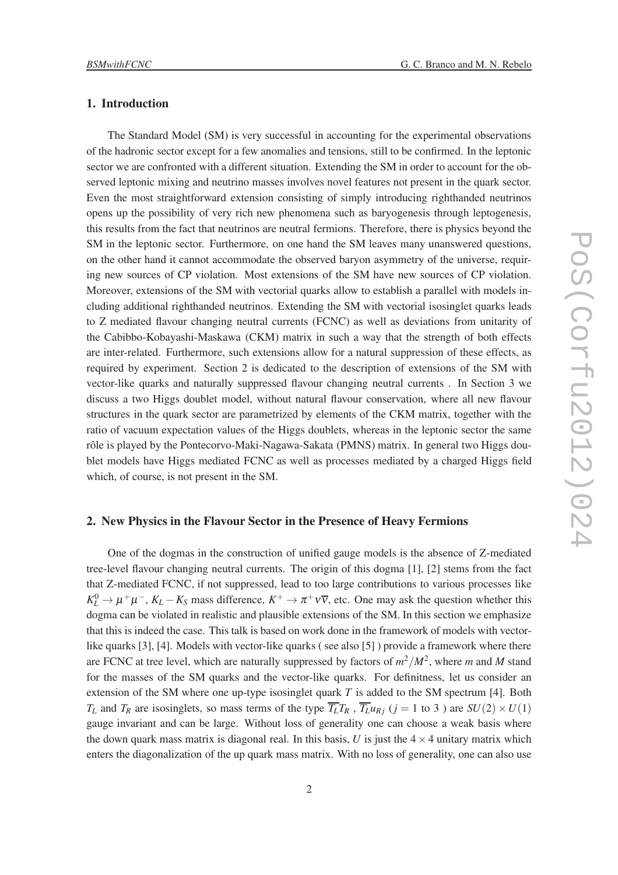#### 1. Introduction

The Standard Model (SM) is very successful in accounting for the experimental observations of the hadronic sector except for a few anomalies and tensions, still to be confirmed. In the leptonic sector we are confronted with a different situation. Extending the SM in order to account for the observed leptonic mixing and neutrino masses involves novel features not present in the quark sector. Even the most straightforward extension consisting of simply introducing righthanded neutrinos opens up the possibility of very rich new phenomena such as baryogenesis through leptogenesis, this results from the fact that neutrinos are neutral fermions. Therefore, there is physics beyond the SM in the leptonic sector. Furthermore, on one hand the SM leaves many unanswered questions, on the other hand it cannot accommodate the observed baryon asymmetry of the universe, requiring new sources of CP violation. Most extensions of the SM have new sources of CP violation. Moreover, extensions of the SM with vectorial quarks allow to establish a parallel with models including additional righthanded neutrinos. Extending the SM with vectorial isosinglet quarks leads to Z mediated flavour changing neutral currents (FCNC) as well as deviations from unitarity of the Cabibbo-Kobayashi-Maskawa (CKM) matrix in such a way that the strength of both effects are inter-related. Furthermore, such extensions allow for a natural suppression of these effects, as required by experiment. Section 2 is dedicated to the description of extensions of the SM with vector-like quarks and naturally suppressed flavour changing neutral currents . In Section 3 we discuss a two Higgs doublet model, without natural flavour conservation, where all new flavour structures in the quark sector are parametrized by elements of the CKM matrix, together with the ratio of vacuum expectation values of the Higgs doublets, whereas in the leptonic sector the same rôle is played by the Pontecorvo-Maki-Nagawa-Sakata (PMNS) matrix. In general two Higgs doublet models have Higgs mediated FCNC as well as processes mediated by a charged Higgs field which, of course, is not present in the SM.

## 2. New Physics in the Flavour Sector in the Presence of Heavy Fermions

One of the dogmas in the construction of unified gauge models is the absence of Z-mediated tree-level flavour changing neutral currents. The origin of this dogma [1], [2] stems from the fact that Z-mediated FCNC, if not suppressed, lead to too large contributions to various processes like  $K_L^0 \to \mu^+\mu^-$ ,  $K_L - K_S$  mass difference,  $K^+ \to \pi^+\nu\overline{\nu}$ , etc. One may ask the question whether this dogma can be violated in realistic and plausible extensions of the SM. In this section we emphasize that this is indeed the case. This talk is based on work done in the framework of models with vectorlike quarks [3], [4]. Models with vector-like quarks ( see also [5] ) provide a framework where there are FCNC at tree level, which are naturally suppressed by factors of  $m^2/M^2$ , where m and M stand for the masses of the SM quarks and the vector-like quarks. For definitness, let us consider an extension of the SM where one up-type isosinglet quark *T* is added to the SM spectrum [4]. Both *T*<sub>*L*</sub> and *T*<sub>*R*</sub> are isosinglets, so mass terms of the type  $\overline{T_L}T_R$ ,  $\overline{T_L}u_{R_i}$  (*j* = 1 to 3) are  $SU(2) \times U(1)$ gauge invariant and can be large. Without loss of generality one can choose a weak basis where the down quark mass matrix is diagonal real. In this basis, U is just the  $4 \times 4$  unitary matrix which enters the diagonalization of the up quark mass matrix. With no loss of generality, one can also use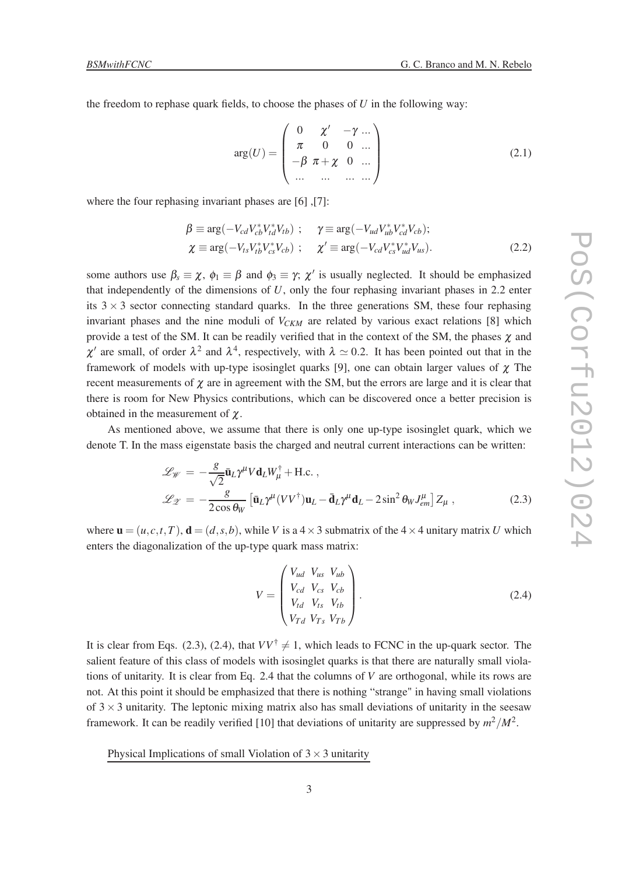the freedom to rephase quark fields, to choose the phases of *U* in the following way:

$$
arg(U) = \begin{pmatrix} 0 & \chi' & -\gamma & \dots \\ \pi & 0 & 0 & \dots \\ -\beta & \pi + \chi & 0 & \dots \\ \dots & \dots & \dots & \dots \end{pmatrix}
$$
 (2.1)

where the four rephasing invariant phases are [6] ,[7]:

$$
\beta \equiv \arg(-V_{cd}V_{cb}^*V_{td}^*V_{tb}) ; \quad \gamma \equiv \arg(-V_{ud}V_{ub}^*V_{cd}^*V_{cb}) ;
$$
  
\n
$$
\chi \equiv \arg(-V_{ts}V_{tb}^*V_{cs}^*V_{cb}) ; \quad \chi' \equiv \arg(-V_{cd}V_{cs}^*V_{ud}^*V_{us}).
$$
\n(2.2)

some authors use  $\beta_s \equiv \chi$ ,  $\phi_1 \equiv \beta$  and  $\phi_3 \equiv \gamma$ ;  $\chi'$  is usually neglected. It should be emphasized that independently of the dimensions of *U*, only the four rephasing invariant phases in 2.2 enter its  $3 \times 3$  sector connecting standard quarks. In the three generations SM, these four rephasing invariant phases and the nine moduli of  $V_{CKM}$  are related by various exact relations [8] which provide a test of the SM. It can be readily verified that in the context of the SM, the phases  $\chi$  and  $\chi'$  are small, of order  $\lambda^2$  and  $\lambda^4$ , respectively, with  $\lambda \simeq 0.2$ . It has been pointed out that in the framework of models with up-type isosinglet quarks [9], one can obtain larger values of  $\chi$  The recent measurements of  $\chi$  are in agreement with the SM, but the errors are large and it is clear that there is room for New Physics contributions, which can be discovered once a better precision is obtained in the measurement of  $\chi$ .

As mentioned above, we assume that there is only one up-type isosinglet quark, which we denote T. In the mass eigenstate basis the charged and neutral current interactions can be written:

$$
\mathcal{L}_{\mathscr{W}} = -\frac{g}{\sqrt{2}} \bar{\mathbf{u}}_{L} \gamma^{\mu} V \mathbf{d}_{L} W_{\mu}^{\dagger} + \text{H.c.} ,
$$
  

$$
\mathcal{L}_{\mathscr{Z}} = -\frac{g}{2 \cos \theta_{W}} \left[ \bar{\mathbf{u}}_{L} \gamma^{\mu} (V V^{\dagger}) \mathbf{u}_{L} - \bar{\mathbf{d}}_{L} \gamma^{\mu} \mathbf{d}_{L} - 2 \sin^{2} \theta_{W} J_{em}^{\mu} \right] Z_{\mu} ,
$$
(2.3)

where  $\mathbf{u} = (u, c, t, T)$ ,  $\mathbf{d} = (d, s, b)$ , while *V* is a  $4 \times 3$  submatrix of the  $4 \times 4$  unitary matrix *U* which enters the diagonalization of the up-type quark mass matrix:

$$
V = \begin{pmatrix} V_{ud} & V_{us} & V_{ub} \\ V_{cd} & V_{cs} & V_{cb} \\ V_{td} & V_{ts} & V_{tb} \\ V_{Td} & V_{Ts} & V_{Tb} \end{pmatrix}.
$$
 (2.4)

It is clear from Eqs. (2.3), (2.4), that  $VV^{\dagger} \neq 1$ , which leads to FCNC in the up-quark sector. The salient feature of this class of models with isosinglet quarks is that there are naturally small violations of unitarity. It is clear from Eq. 2.4 that the columns of *V* are orthogonal, while its rows are not. At this point it should be emphasized that there is nothing "strange" in having small violations of  $3 \times 3$  unitarity. The leptonic mixing matrix also has small deviations of unitarity in the seesaw framework. It can be readily verified [10] that deviations of unitarity are suppressed by  $m^2/M^2$ .

Physical Implications of small Violation of  $3 \times 3$  unitarity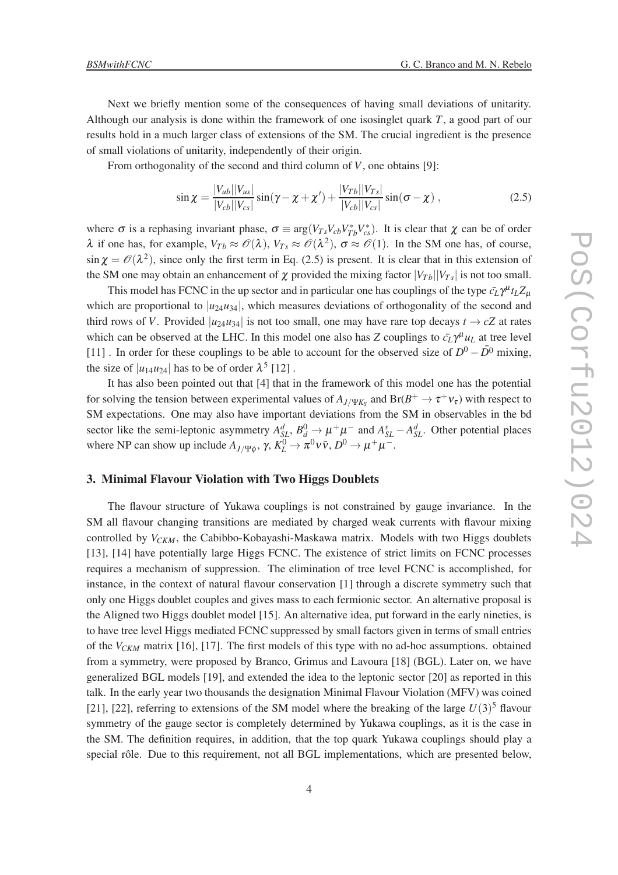Next we briefly mention some of the consequences of having small deviations of unitarity. Although our analysis is done within the framework of one isosinglet quark *T*, a good part of our results hold in a much larger class of extensions of the SM. The crucial ingredient is the presence of small violations of unitarity, independently of their origin.

From orthogonality of the second and third column of *V*, one obtains [9]:

$$
\sin \chi = \frac{|V_{ub}||V_{us}|}{|V_{cb}||V_{cs}|} \sin(\gamma - \chi + \chi') + \frac{|V_{Tb}||V_{Ts}|}{|V_{cb}||V_{cs}|} \sin(\sigma - \chi) , \qquad (2.5)
$$

where  $\sigma$  is a rephasing invariant phase,  $\sigma \equiv \arg(V_{Ts}V_{cb}V_{Tb}^*V_{cs}^*)$ . It is clear that  $\chi$  can be of order  $\lambda$  if one has, for example,  $V_{Tb} \approx \mathcal{O}(\lambda)$ ,  $V_{Ts} \approx \mathcal{O}(\lambda^2)$ ,  $\sigma \approx \mathcal{O}(1)$ . In the SM one has, of course,  $\sin \chi = \mathcal{O}(\lambda^2)$ , since only the first term in Eq. (2.5) is present. It is clear that in this extension of the SM one may obtain an enhancement of  $\chi$  provided the mixing factor  $|V_{Tb}| |V_{Ts}|$  is not too small.

This model has FCNC in the up sector and in particular one has couplings of the type  $\bar{c}_L \gamma^\mu t_L Z_\mu$ which are proportional to  $|u_{24}u_{34}|$ , which measures deviations of orthogonality of the second and third rows of *V*. Provided  $|u_{24}u_{34}|$  is not too small, one may have rare top decays  $t \to cZ$  at rates which can be observed at the LHC. In this model one also has *Z* couplings to  $\bar{c}_L \gamma^\mu u_L$  at tree level [11] . In order for these couplings to be able to account for the observed size of  $D^0 - \overline{D}{}^0$  mixing, the size of  $|u_{14}u_{24}|$  has to be of order  $\lambda^5$  [12].

It has also been pointed out that [4] that in the framework of this model one has the potential for solving the tension between experimental values of  $A_{J/\Psi K_S}$  and  $Br(B^+ \to \tau^+ \nu_{\tau})$  with respect to SM expectations. One may also have important deviations from the SM in observables in the bd sector like the semi-leptonic asymmetry  $A_{SL}^d$ ,  $B_d^0 \to \mu^+\mu^-$  and  $A_{SL}^s - A_{SL}^d$ . Other potential places where NP can show up include  $A_{J/\Psi\phi}$ ,  $\gamma$ ,  $K_L^0 \to \pi^0 \nu \bar{\nu}$ ,  $D^0 \to \mu^+ \mu^-$ .

### 3. Minimal Flavour Violation with Two Higgs Doublets

The flavour structure of Yukawa couplings is not constrained by gauge invariance. In the SM all flavour changing transitions are mediated by charged weak currents with flavour mixing controlled by *VCKM*, the Cabibbo-Kobayashi-Maskawa matrix. Models with two Higgs doublets [13], [14] have potentially large Higgs FCNC. The existence of strict limits on FCNC processes requires a mechanism of suppression. The elimination of tree level FCNC is accomplished, for instance, in the context of natural flavour conservation [1] through a discrete symmetry such that only one Higgs doublet couples and gives mass to each fermionic sector. An alternative proposal is the Aligned two Higgs doublet model [15]. An alternative idea, put forward in the early nineties, is to have tree level Higgs mediated FCNC suppressed by small factors given in terms of small entries of the  $V_{CKM}$  matrix [16], [17]. The first models of this type with no ad-hoc assumptions. obtained from a symmetry, were proposed by Branco, Grimus and Lavoura [18] (BGL). Later on, we have generalized BGL models [19], and extended the idea to the leptonic sector [20] as reported in this talk. In the early year two thousands the designation Minimal Flavour Violation (MFV) was coined [21], [22], referring to extensions of the SM model where the breaking of the large  $U(3)^5$  flavour symmetry of the gauge sector is completely determined by Yukawa couplings, as it is the case in the SM. The definition requires, in addition, that the top quark Yukawa couplings should play a special rôle. Due to this requirement, not all BGL implementations, which are presented below,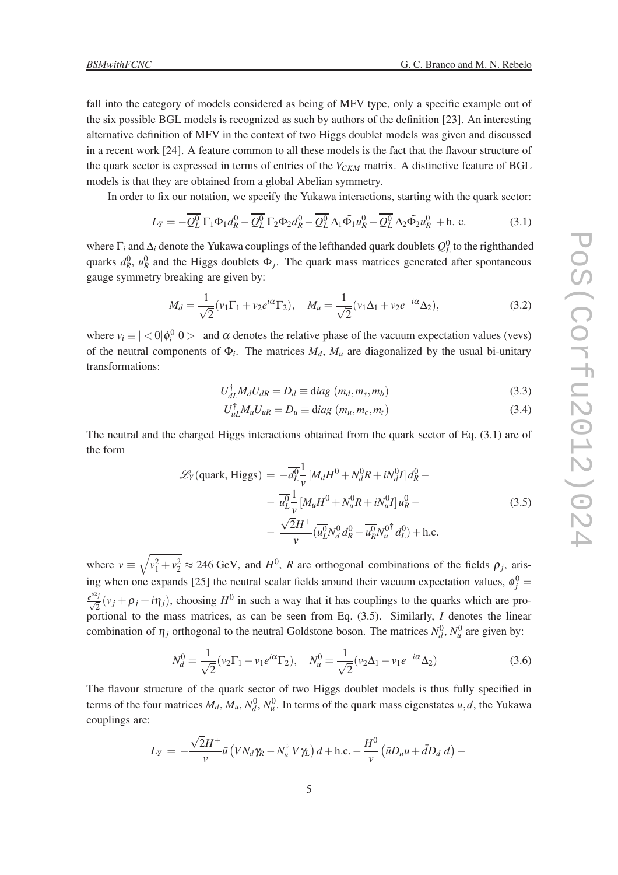fall into the category of models considered as being of MFV type, only a specific example out of the six possible BGL models is recognized as such by authors of the definition [23]. An interesting alternative definition of MFV in the context of two Higgs doublet models was given and discussed in a recent work [24]. A feature common to all these models is the fact that the flavour structure of the quark sector is expressed in terms of entries of the *VCKM* matrix. A distinctive feature of BGL models is that they are obtained from a global Abelian symmetry.

In order to fix our notation, we specify the Yukawa interactions, starting with the quark sector:

$$
L_Y = -\overline{Q_L^0} \Gamma_1 \Phi_1 d_R^0 - \overline{Q_L^0} \Gamma_2 \Phi_2 d_R^0 - \overline{Q_L^0} \Delta_1 \tilde{\Phi}_1 u_R^0 - \overline{Q_L^0} \Delta_2 \tilde{\Phi}_2 u_R^0 + \text{h. c.}
$$
 (3.1)

where  $\Gamma_i$  and  $\Delta_i$  denote the Yukawa couplings of the lefthanded quark doublets  $Q_L^0$  to the righthanded quarks  $d_R^0$ ,  $u_R^0$  and the Higgs doublets  $\Phi_j$ . The quark mass matrices generated after spontaneous gauge symmetry breaking are given by:

$$
M_d = \frac{1}{\sqrt{2}} (v_1 \Gamma_1 + v_2 e^{i\alpha} \Gamma_2), \quad M_u = \frac{1}{\sqrt{2}} (v_1 \Delta_1 + v_2 e^{-i\alpha} \Delta_2), \tag{3.2}
$$

where  $v_i \equiv |\langle 0 | \phi_i^0 | 0 \rangle|$  and  $\alpha$  denotes the relative phase of the vacuum expectation values (vevs) of the neutral components of  $\Phi_i$ . The matrices  $M_d$ ,  $M_u$  are diagonalized by the usual bi-unitary transformations:

$$
U_{dL}^{\dagger} M_d U_{dR} = D_d \equiv \text{diag}(m_d, m_s, m_b)
$$
\n(3.3)

$$
U_{uL}^{\dagger} M_u U_{uR} = D_u \equiv \text{diag}(m_u, m_c, m_t)
$$
\n(3.4)

The neutral and the charged Higgs interactions obtained from the quark sector of Eq. (3.1) are of the form

$$
\mathcal{L}_Y(\text{quark, Higgs}) = -\overline{d_L^0} \frac{1}{v} \left[ M_d H^0 + N_d^0 R + i N_d^0 I \right] d_R^0 -
$$
  

$$
- \overline{u_L^0} \frac{1}{v} \left[ M_u H^0 + N_u^0 R + i N_u^0 I \right] u_R^0 -
$$
  

$$
- \frac{\sqrt{2}H^+}{v} \left( \overline{u_L^0} N_d^0 d_R^0 - \overline{u_R^0} N_u^{0^\dagger} d_L^0 \right) + \text{h.c.}
$$
 (3.5)

where  $v \equiv \sqrt{v_1^2 + v_2^2} \approx 246$  GeV, and  $H^0$ , *R* are orthogonal combinations of the fields  $\rho_j$ , arising when one expands [25] the neutral scalar fields around their vacuum expectation values,  $\phi_j^0$  =  $e^{i\alpha_j}(\nu_j + \rho_j + i\eta_j)$ , choosing *H*<sup>0</sup> in such a way that it has couplings to the quarks which are proportional to the mass matrices, as can be seen from Eq. (3.5). Similarly, *I* denotes the linear combination of  $\eta_j$  orthogonal to the neutral Goldstone boson. The matrices  $N_d^0$ ,  $N_u^0$  are given by:

$$
N_d^0 = \frac{1}{\sqrt{2}} (v_2 \Gamma_1 - v_1 e^{i\alpha} \Gamma_2), \quad N_u^0 = \frac{1}{\sqrt{2}} (v_2 \Delta_1 - v_1 e^{-i\alpha} \Delta_2)
$$
(3.6)

The flavour structure of the quark sector of two Higgs doublet models is thus fully specified in terms of the four matrices  $M_d$ ,  $M_u$ ,  $N_d^0$ ,  $N_u^0$ . In terms of the quark mass eigenstates  $u$ , *d*, the Yukawa couplings are:

$$
L_Y = -\frac{\sqrt{2}H^+}{v}\bar{u}\left(VN_d\gamma_R - N_u^{\dagger}V\gamma_L\right)d + \text{h.c.} - \frac{H^0}{v}\left(\bar{u}D_uu + \bar{d}D_d\ d\right) -
$$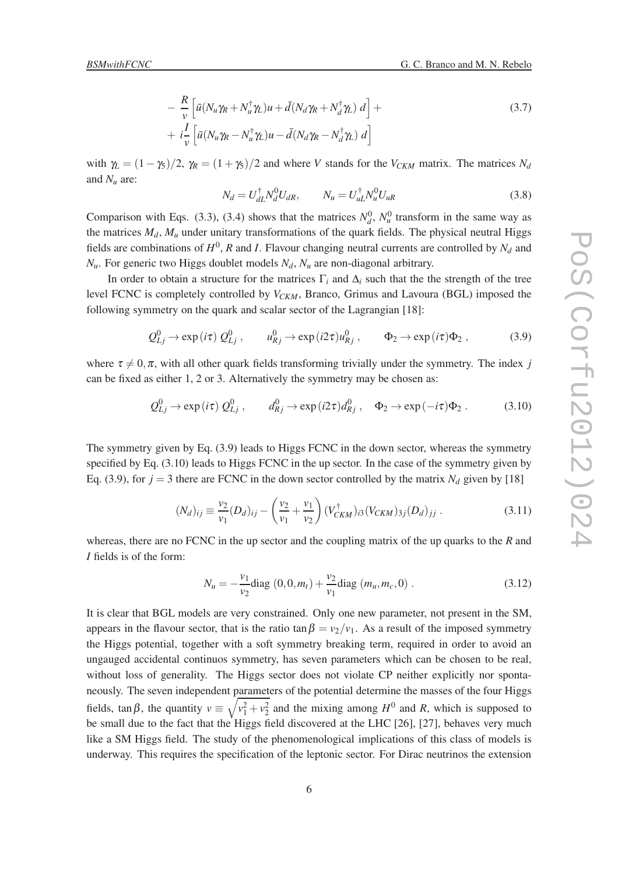$$
- \frac{R}{\nu} \left[ \bar{u} (N_u \gamma_R + N_u^{\dagger} \gamma_L) u + \bar{d} (N_d \gamma_R + N_d^{\dagger} \gamma_L) d \right] +
$$
  
+  $i \frac{I}{\nu} \left[ \bar{u} (N_u \gamma_R - N_u^{\dagger} \gamma_L) u - \bar{d} (N_d \gamma_R - N_d^{\dagger} \gamma_L) d \right]$  (3.7)

with  $\gamma_L = (1 - \gamma_5)/2$ ,  $\gamma_R = (1 + \gamma_5)/2$  and where *V* stands for the  $V_{CKM}$  matrix. The matrices  $N_d$ and  $N_\mu$  are:

$$
N_d = U_{dL}^{\dagger} N_d^0 U_{dR}, \qquad N_u = U_{uL}^{\dagger} N_u^0 U_{uR}
$$
 (3.8)

Comparison with Eqs. (3.3), (3.4) shows that the matrices  $N_d^0$ ,  $N_u^0$  transform in the same way as the matrices  $M_d$ ,  $M_u$  under unitary transformations of the quark fields. The physical neutral Higgs fields are combinations of  $H^0$ , *R* and *I*. Flavour changing neutral currents are controlled by  $N_d$  and  $N_u$ . For generic two Higgs doublet models  $N_d$ ,  $N_u$  are non-diagonal arbitrary.

In order to obtain a structure for the matrices  $\Gamma_i$  and  $\Delta_i$  such that the the strength of the tree level FCNC is completely controlled by *VCKM*, Branco, Grimus and Lavoura (BGL) imposed the following symmetry on the quark and scalar sector of the Lagrangian [18]:

$$
Q_{Lj}^0 \to \exp(i\tau) Q_{Lj}^0, \qquad u_{Rj}^0 \to \exp(i2\tau) u_{Rj}^0, \qquad \Phi_2 \to \exp(i\tau) \Phi_2, \tag{3.9}
$$

where  $\tau \neq 0, \pi$ , with all other quark fields transforming trivially under the symmetry. The index *j* can be fixed as either 1, 2 or 3. Alternatively the symmetry may be chosen as:

$$
Q_{Lj}^0 \to \exp(i\tau) Q_{Lj}^0, \qquad d_{Rj}^0 \to \exp(i2\tau) d_{Rj}^0, \quad \Phi_2 \to \exp(-i\tau) \Phi_2. \tag{3.10}
$$

The symmetry given by Eq. (3.9) leads to Higgs FCNC in the down sector, whereas the symmetry specified by Eq.  $(3.10)$  leads to Higgs FCNC in the up sector. In the case of the symmetry given by Eq. (3.9), for  $j = 3$  there are FCNC in the down sector controlled by the matrix  $N_d$  given by [18]

$$
(N_d)_{ij} \equiv \frac{v_2}{v_1} (D_d)_{ij} - \left(\frac{v_2}{v_1} + \frac{v_1}{v_2}\right) (V_{CKM}^{\dagger})_{i3} (V_{CKM})_{3j} (D_d)_{jj} . \tag{3.11}
$$

whereas, there are no FCNC in the up sector and the coupling matrix of the up quarks to the *R* and *I* fields is of the form:

$$
N_u = -\frac{v_1}{v_2} \text{diag}(0, 0, m_t) + \frac{v_2}{v_1} \text{diag}(m_u, m_c, 0) \tag{3.12}
$$

It is clear that BGL models are very constrained. Only one new parameter, not present in the SM, appears in the flavour sector, that is the ratio tan  $\beta = v_2/v_1$ . As a result of the imposed symmetry the Higgs potential, together with a soft symmetry breaking term, required in order to avoid an ungauged accidental continuos symmetry, has seven parameters which can be chosen to be real, without loss of generality. The Higgs sector does not violate CP neither explicitly nor spontaneously. The seven independent parameters of the potential determine the masses of the four Higgs fields,  $\tan \beta$ , the quantity  $v \equiv \sqrt{v_1^2 + v_2^2}$  and the mixing among  $H^0$  and *R*, which is supposed to be small due to the fact that the Higgs field discovered at the LHC [26], [27], behaves very much like a SM Higgs field. The study of the phenomenological implications of this class of models is underway. This requires the specification of the leptonic sector. For Dirac neutrinos the extension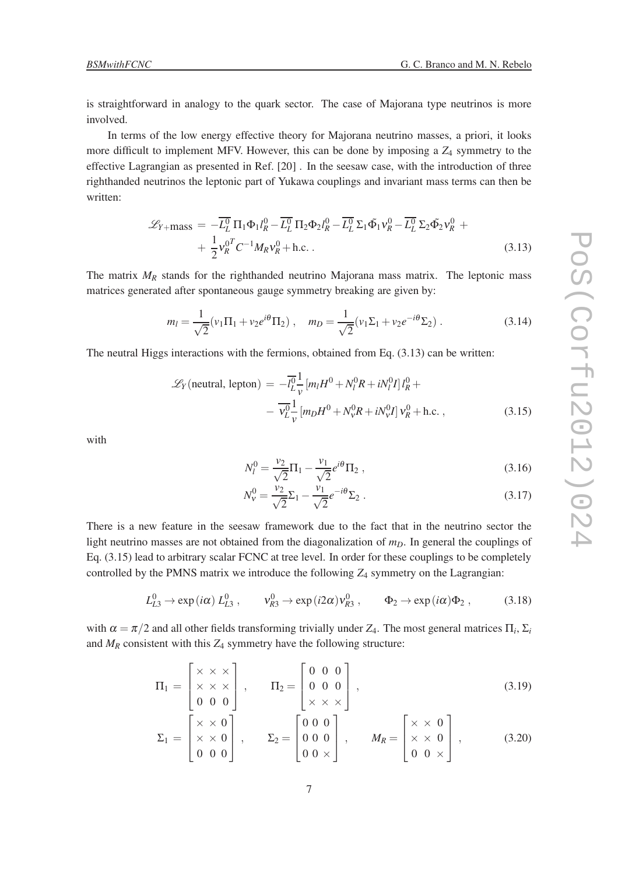is straightforward in analogy to the quark sector. The case of Majorana type neutrinos is more involved.

In terms of the low energy effective theory for Majorana neutrino masses, a priori, it looks more difficult to implement MFV. However, this can be done by imposing a *Z*<sup>4</sup> symmetry to the effective Lagrangian as presented in Ref. [20] . In the seesaw case, with the introduction of three righthanded neutrinos the leptonic part of Yukawa couplings and invariant mass terms can then be written:

$$
\mathcal{L}_{Y+\text{mass}} = -\overline{L_L^0} \Pi_1 \Phi_1 l_R^0 - \overline{L_L^0} \Pi_2 \Phi_2 l_R^0 - \overline{L_L^0} \Sigma_1 \tilde{\Phi}_1 v_R^0 - \overline{L_L^0} \Sigma_2 \tilde{\Phi}_2 v_R^0 + + \frac{1}{2} v_R^{0T} C^{-1} M_R v_R^0 + \text{h.c.}
$$
\n(3.13)

The matrix  $M_R$  stands for the righthanded neutrino Majorana mass matrix. The leptonic mass matrices generated after spontaneous gauge symmetry breaking are given by:

$$
m_l = \frac{1}{\sqrt{2}} (v_1 \Pi_1 + v_2 e^{i\theta} \Pi_2) , \quad m_D = \frac{1}{\sqrt{2}} (v_1 \Sigma_1 + v_2 e^{-i\theta} \Sigma_2) .
$$
 (3.14)

The neutral Higgs interactions with the fermions, obtained from Eq.  $(3.13)$  can be written:

$$
\mathcal{L}_Y(\text{neutral, lepton}) = -\overline{l_L^0} \frac{1}{v} \left[ m_l H^0 + N_l^0 R + i N_l^0 I \right] l_R^0 +
$$

$$
- \overline{V_L^0} \frac{1}{v} \left[ m_D H^0 + N_v^0 R + i N_v^0 I \right] V_R^0 + \text{h.c.}, \qquad (3.15)
$$

with

$$
N_l^0 = \frac{v_2}{\sqrt{2}} \Pi_1 - \frac{v_1}{\sqrt{2}} e^{i\theta} \Pi_2 , \qquad (3.16)
$$

$$
N_V^0 = \frac{v_2}{\sqrt{2}} \Sigma_1 - \frac{v_1}{\sqrt{2}} e^{-i\theta} \Sigma_2 .
$$
 (3.17)

There is a new feature in the seesaw framework due to the fact that in the neutrino sector the light neutrino masses are not obtained from the diagonalization of  $m<sub>D</sub>$ . In general the couplings of Eq. (3.15) lead to arbitrary scalar FCNC at tree level. In order for these couplings to be completely controlled by the PMNS matrix we introduce the following  $Z_4$  symmetry on the Lagrangian:

$$
L_{L3}^0 \to \exp(i\alpha) L_{L3}^0, \qquad v_{R3}^0 \to \exp(i2\alpha) v_{R3}^0, \qquad \Phi_2 \to \exp(i\alpha) \Phi_2, \tag{3.18}
$$

with  $\alpha = \pi/2$  and all other fields transforming trivially under  $Z_4$ . The most general matrices  $\Pi_i$ ,  $\Sigma_i$ and  $M_R$  consistent with this  $Z_4$  symmetry have the following structure:

$$
\Pi_1 = \begin{bmatrix} \times & \times & \times \\ \times & \times & \times \\ 0 & 0 & 0 \end{bmatrix}, \qquad \Pi_2 = \begin{bmatrix} 0 & 0 & 0 \\ 0 & 0 & 0 \\ \times & \times & \times \end{bmatrix}, \tag{3.19}
$$

$$
\Sigma_1 = \begin{bmatrix} \times & \times & 0 \\ \times & \times & 0 \\ 0 & 0 & 0 \end{bmatrix}, \qquad \Sigma_2 = \begin{bmatrix} 0 & 0 & 0 \\ 0 & 0 & 0 \\ 0 & 0 & \times \end{bmatrix}, \qquad M_R = \begin{bmatrix} \times & \times & 0 \\ \times & \times & 0 \\ 0 & 0 & \times \end{bmatrix}, \tag{3.20}
$$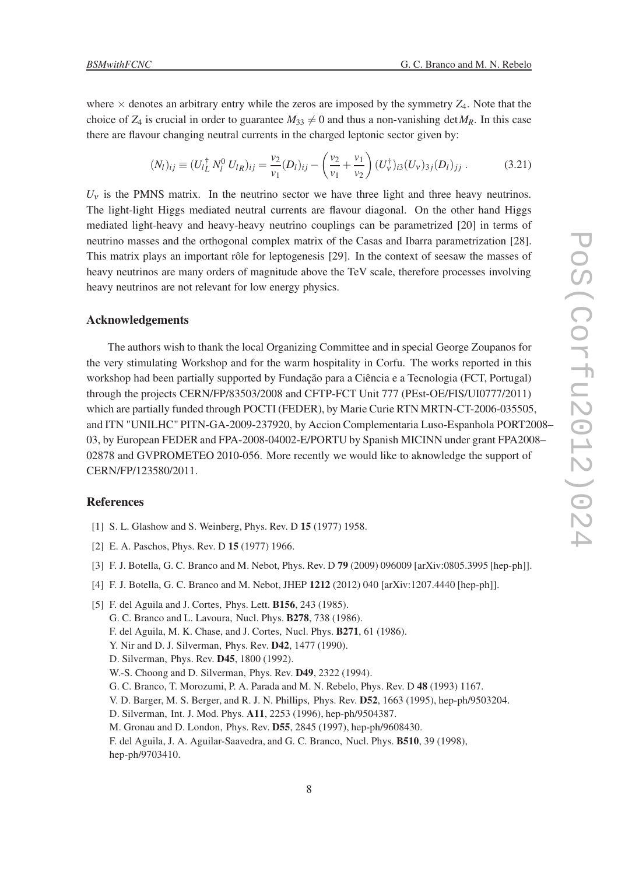where  $\times$  denotes an arbitrary entry while the zeros are imposed by the symmetry  $Z_4$ . Note that the choice of  $Z_4$  is crucial in order to guarantee  $M_{33} \neq 0$  and thus a non-vanishing det  $M_R$ . In this case there are flavour changing neutral currents in the charged leptonic sector given by:

$$
(N_l)_{ij} \equiv (U_l^{\dagger} N_l^0 U_{lR})_{ij} = \frac{v_2}{v_1} (D_l)_{ij} - \left(\frac{v_2}{v_1} + \frac{v_1}{v_2}\right) (U_V^{\dagger})_{i3} (U_V)_{3j} (D_l)_{jj}.
$$
 (3.21)

 $U<sub>v</sub>$  is the PMNS matrix. In the neutrino sector we have three light and three heavy neutrinos. The light-light Higgs mediated neutral currents are flavour diagonal. On the other hand Higgs mediated light-heavy and heavy-heavy neutrino couplings can be parametrized [20] in terms of neutrino masses and the orthogonal complex matrix of the Casas and Ibarra parametrization [28]. This matrix plays an important rôle for leptogenesis [29]. In the context of seesaw the masses of heavy neutrinos are many orders of magnitude above the TeV scale, therefore processes involving heavy neutrinos are not relevant for low energy physics.

#### Acknowledgements

The authors wish to thank the local Organizing Committee and in special George Zoupanos for the very stimulating Workshop and for the warm hospitality in Corfu. The works reported in this workshop had been partially supported by Fundação para a Ciência e a Tecnologia (FCT, Portugal) through the projects CERN/FP/83503/2008 and CFTP-FCT Unit 777 (PEst-OE/FIS/UI0777/2011) which are partially funded through POCTI (FEDER), by Marie Curie RTN MRTN-CT-2006-035505, and ITN "UNILHC" PITN-GA-2009-237920, by Accion Complementaria Luso-Espanhola PORT2008– 03, by European FEDER and FPA-2008-04002-E/PORTU by Spanish MICINN under grant FPA2008– 02878 and GVPROMETEO 2010-056. More recently we would like to aknowledge the support of CERN/FP/123580/2011.

#### **References**

- [1] S. L. Glashow and S. Weinberg, Phys. Rev. D 15 (1977) 1958.
- [2] E. A. Paschos, Phys. Rev. D **15** (1977) 1966.
- [3] F. J. Botella, G. C. Branco and M. Nebot, Phys. Rev. D 79 (2009) 096009 [arXiv:0805.3995 [hep-ph]].
- [4] F. J. Botella, G. C. Branco and M. Nebot, JHEP 1212 (2012) 040 [arXiv:1207.4440 [hep-ph]].

<sup>[5]</sup> F. del Aguila and J. Cortes, Phys. Lett. B156, 243 (1985). G. C. Branco and L. Lavoura, Nucl. Phys. B278, 738 (1986). F. del Aguila, M. K. Chase, and J. Cortes, Nucl. Phys. B271, 61 (1986). Y. Nir and D. J. Silverman, Phys. Rev. D42, 1477 (1990). D. Silverman, Phys. Rev. D45, 1800 (1992). W.-S. Choong and D. Silverman, Phys. Rev. D49, 2322 (1994). G. C. Branco, T. Morozumi, P. A. Parada and M. N. Rebelo, Phys. Rev. D 48 (1993) 1167. V. D. Barger, M. S. Berger, and R. J. N. Phillips, Phys. Rev. D52, 1663 (1995), hep-ph/9503204. D. Silverman, Int. J. Mod. Phys. A11, 2253 (1996), hep-ph/9504387. M. Gronau and D. London, Phys. Rev. D55, 2845 (1997), hep-ph/9608430. F. del Aguila, J. A. Aguilar-Saavedra, and G. C. Branco, Nucl. Phys. B510, 39 (1998), hep-ph/9703410.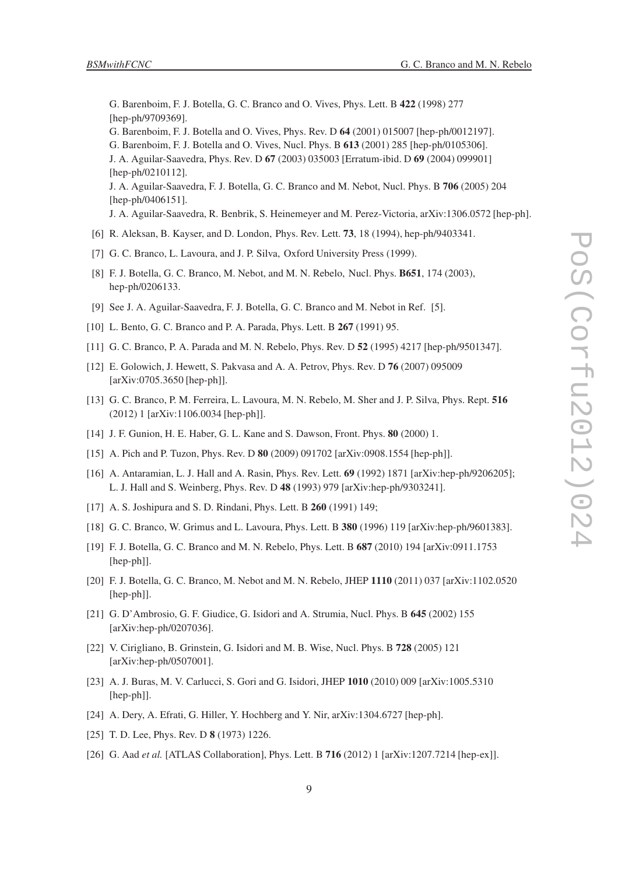G. Barenboim, F. J. Botella, G. C. Branco and O. Vives, Phys. Lett. B 422 (1998) 277 [hep-ph/9709369]. G. Barenboim, F. J. Botella and O. Vives, Phys. Rev. D 64 (2001) 015007 [hep-ph/0012197]. G. Barenboim, F. J. Botella and O. Vives, Nucl. Phys. B 613 (2001) 285 [hep-ph/0105306]. J. A. Aguilar-Saavedra, Phys. Rev. D 67 (2003) 035003 [Erratum-ibid. D 69 (2004) 099901] [hep-ph/0210112]. J. A. Aguilar-Saavedra, F. J. Botella, G. C. Branco and M. Nebot, Nucl. Phys. B 706 (2005) 204 [hep-ph/0406151]. J. A. Aguilar-Saavedra, R. Benbrik, S. Heinemeyer and M. Perez-Victoria, arXiv:1306.0572 [hep-ph].

- [6] R. Aleksan, B. Kayser, and D. London, Phys. Rev. Lett. 73, 18 (1994), hep-ph/9403341.
- [7] G. C. Branco, L. Lavoura, and J. P. Silva, Oxford University Press (1999).
- [8] F. J. Botella, G. C. Branco, M. Nebot, and M. N. Rebelo, Nucl. Phys. **B651**, 174 (2003), hep-ph/0206133.
- [9] See J. A. Aguilar-Saavedra, F. J. Botella, G. C. Branco and M. Nebot in Ref. [5].
- [10] L. Bento, G. C. Branco and P. A. Parada, Phys. Lett. B 267 (1991) 95.
- [11] G. C. Branco, P. A. Parada and M. N. Rebelo, Phys. Rev. D 52 (1995) 4217 [hep-ph/9501347].
- [12] E. Golowich, J. Hewett, S. Pakvasa and A. A. Petrov, Phys. Rev. D 76 (2007) 095009 [arXiv:0705.3650 [hep-ph]].
- [13] G. C. Branco, P. M. Ferreira, L. Lavoura, M. N. Rebelo, M. Sher and J. P. Silva, Phys. Rept. 516 (2012) 1 [arXiv:1106.0034 [hep-ph]].
- [14] J. F. Gunion, H. E. Haber, G. L. Kane and S. Dawson, Front. Phys. 80 (2000) 1.
- [15] A. Pich and P. Tuzon, Phys. Rev. D 80 (2009) 091702 [arXiv:0908.1554 [hep-ph]].
- [16] A. Antaramian, L. J. Hall and A. Rasin, Phys. Rev. Lett. 69 (1992) 1871 [arXiv:hep-ph/9206205]; L. J. Hall and S. Weinberg, Phys. Rev. D 48 (1993) 979 [arXiv:hep-ph/9303241].
- [17] A. S. Joshipura and S. D. Rindani, Phys. Lett. B 260 (1991) 149;
- [18] G. C. Branco, W. Grimus and L. Lavoura, Phys. Lett. B 380 (1996) 119 [arXiv:hep-ph/9601383].
- [19] F. J. Botella, G. C. Branco and M. N. Rebelo, Phys. Lett. B 687 (2010) 194 [arXiv:0911.1753 [hep-ph]].
- [20] F. J. Botella, G. C. Branco, M. Nebot and M. N. Rebelo, JHEP 1110 (2011) 037 [arXiv:1102.0520 [hep-ph]].
- [21] G. D'Ambrosio, G. F. Giudice, G. Isidori and A. Strumia, Nucl. Phys. B 645 (2002) 155 [arXiv:hep-ph/0207036].
- [22] V. Cirigliano, B. Grinstein, G. Isidori and M. B. Wise, Nucl. Phys. B 728 (2005) 121 [arXiv:hep-ph/0507001].
- [23] A. J. Buras, M. V. Carlucci, S. Gori and G. Isidori, JHEP 1010 (2010) 009 [arXiv:1005.5310 [hep-ph]].
- [24] A. Dery, A. Efrati, G. Hiller, Y. Hochberg and Y. Nir, arXiv:1304.6727 [hep-ph].
- [25] T. D. Lee, Phys. Rev. D **8** (1973) 1226.
- [26] G. Aad *et al.* [ATLAS Collaboration], Phys. Lett. B 716 (2012) 1 [arXiv:1207.7214 [hep-ex]].